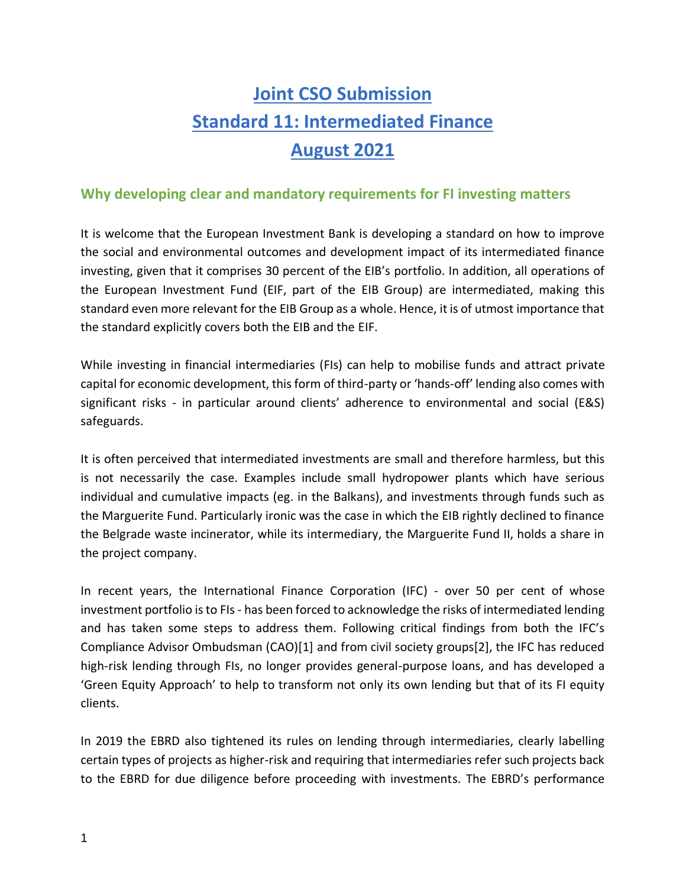# **Joint CSO Submission Standard 11: Intermediated Finance August 2021**

# **Why developing clear and mandatory requirements for FI investing matters**

It is welcome that the European Investment Bank is developing a standard on how to improve the social and environmental outcomes and development impact of its intermediated finance investing, given that it comprises 30 percent of the EIB's portfolio. In addition, all operations of the European Investment Fund (EIF, part of the EIB Group) are intermediated, making this standard even more relevant for the EIB Group as a whole. Hence, it is of utmost importance that the standard explicitly covers both the EIB and the EIF.

While investing in financial intermediaries (FIs) can help to mobilise funds and attract private capital for economic development, this form of third-party or 'hands-off' lending also comes with significant risks - in particular around clients' adherence to environmental and social (E&S) safeguards.

It is often perceived that intermediated investments are small and therefore harmless, but this is not necessarily the case. Examples include small hydropower plants which have serious individual and cumulative impacts (eg. in the Balkans), and investments through funds such as the Marguerite Fund. Particularly ironic was the case in which the EIB rightly declined to finance the Belgrade waste incinerator, while its intermediary, the Marguerite Fund II, holds a share in the project company.

In recent years, the International Finance Corporation (IFC) - over 50 per cent of whose investment portfolio is to FIs - has been forced to acknowledge the risks of intermediated lending and has taken some steps to address them. Following critical findings from both the IFC's Compliance Advisor Ombudsman (CAO)[1] and from civil society groups[2], the IFC has reduced high-risk lending through FIs, no longer provides general-purpose loans, and has developed a 'Green Equity Approach' to help to transform not only its own lending but that of its FI equity clients.

In 2019 the EBRD also tightened its rules on lending through intermediaries, clearly labelling certain types of projects as higher-risk and requiring that intermediaries refer such projects back to the EBRD for due diligence before proceeding with investments. The EBRD's performance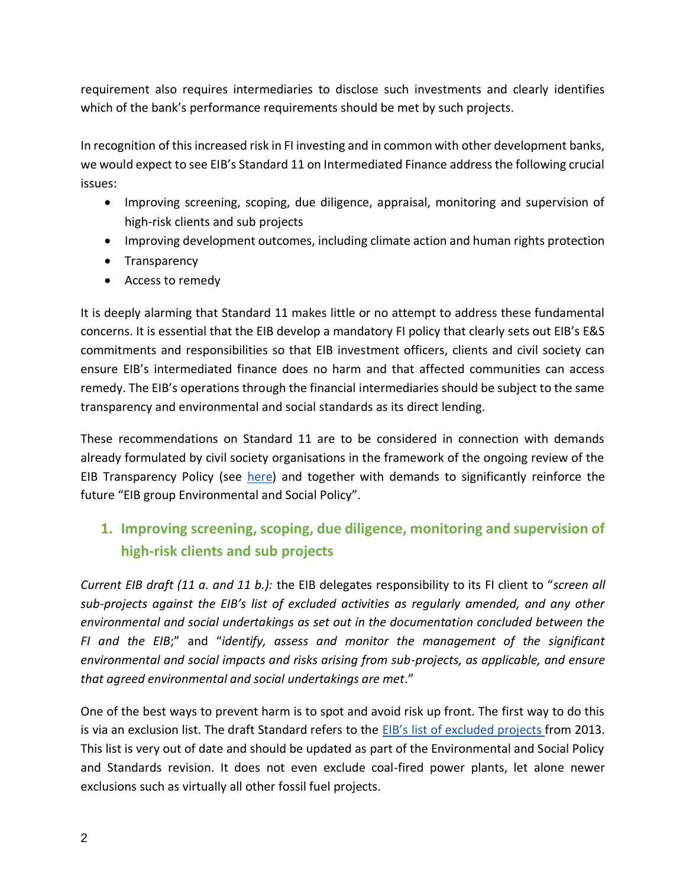requirement also requires intermediaries to disclose such investments and clearly identifies which of the bank's performance requirements should be met by such projects.

In recognition of this increased risk in FI investing and in common with other development banks, we would expect to see EIB's Standard 11 on Intermediated Finance address the following crucial issues:

- Improving screening, scoping, due diligence, appraisal, monitoring and supervision of high-risk clients and sub projects
- Improving development outcomes, including climate action and human rights protection
- Transparency
- Access to remedy

It is deeply alarming that Standard 11 makes little or no attempt to address these fundamental concerns. It is essential that the EIB develop a mandatory FI policy that clearly sets out EIB's E&S commitments and responsibilities so that EIB investment officers, clients and civil society can ensure EIB's intermediated finance does no harm and that affected communities can access remedy. The EIB's operations through the financial intermediaries should be subject to the same transparency and environmental and social standards as its direct lending.

These recommendations on Standard 11 are to be considered in connection with demands already formulated by civil society organisations in the framework of the ongoing review of the EIB Transparency Policy (see [here\)](https://counter-balance.org/news/eu-bank-failing-on-transparency-and-openness-warns-civil-society) and together with demands to significantly reinforce the future "EIB group Environmental and Social Policy".

# **1. Improving screening, scoping, due diligence, monitoring and supervision of high-risk clients and sub projects**

*Current EIB draft (11 a. and 11 b.):* the EIB delegates responsibility to its FI client to "*screen all sub-projects against the EIB's list of excluded activities as regularly amended, and any other environmental and social undertakings as set out in the documentation concluded between the FI and the EIB*;" and "*identify, assess and monitor the management of the significant environmental and social impacts and risks arising from sub-projects, as applicable, and ensure that agreed environmental and social undertakings are met*."

One of the best ways to prevent harm is to spot and avoid risk up front. The first way to do this is via an exclusion list. The draft Standard refers to the [EIB's list of excluded p](https://www.eib.org/attachments/documents/excluded_activities_2013_en.pdf)rojects from 2013. This list is very out of date and should be updated as part of the Environmental and Social Policy and Standards revision. It does not even exclude coal-fired power plants, let alone newer exclusions such as virtually all other fossil fuel projects.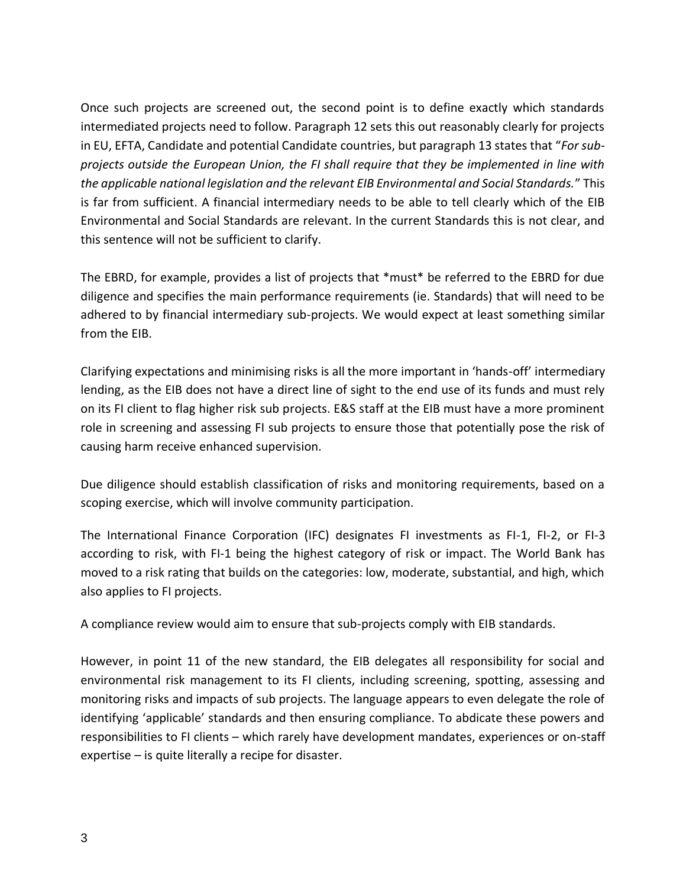Once such projects are screened out, the second point is to define exactly which standards intermediated projects need to follow. Paragraph 12 sets this out reasonably clearly for projects in EU, EFTA, Candidate and potential Candidate countries, but paragraph 13 states that "*For subprojects outside the European Union, the FI shall require that they be implemented in line with the applicable national legislation and the relevant EIB Environmental and Social Standards.*" This is far from sufficient. A financial intermediary needs to be able to tell clearly which of the EIB Environmental and Social Standards are relevant. In the current Standards this is not clear, and this sentence will not be sufficient to clarify.

The EBRD, for example, provides a list of projects that \*must\* be referred to the EBRD for due diligence and specifies the main performance requirements (ie. Standards) that will need to be adhered to by financial intermediary sub-projects. We would expect at least something similar from the EIB.

Clarifying expectations and minimising risks is all the more important in 'hands-off' intermediary lending, as the EIB does not have a direct line of sight to the end use of its funds and must rely on its FI client to flag higher risk sub projects. E&S staff at the EIB must have a more prominent role in screening and assessing FI sub projects to ensure those that potentially pose the risk of causing harm receive enhanced supervision.

Due diligence should establish classification of risks and monitoring requirements, based on a scoping exercise, which will involve community participation.

The International Finance Corporation (IFC) designates FI investments as FI-1, FI-2, or FI-3 according to risk, with FI-1 being the highest category of risk or impact. The World Bank has moved to a risk rating that builds on the categories: low, moderate, substantial, and high, which also applies to FI projects.

A compliance review would aim to ensure that sub-projects comply with EIB standards.

However, in point 11 of the new standard, the EIB delegates all responsibility for social and environmental risk management to its FI clients, including screening, spotting, assessing and monitoring risks and impacts of sub projects. The language appears to even delegate the role of identifying 'applicable' standards and then ensuring compliance. To abdicate these powers and responsibilities to FI clients – which rarely have development mandates, experiences or on-staff expertise – is quite literally a recipe for disaster.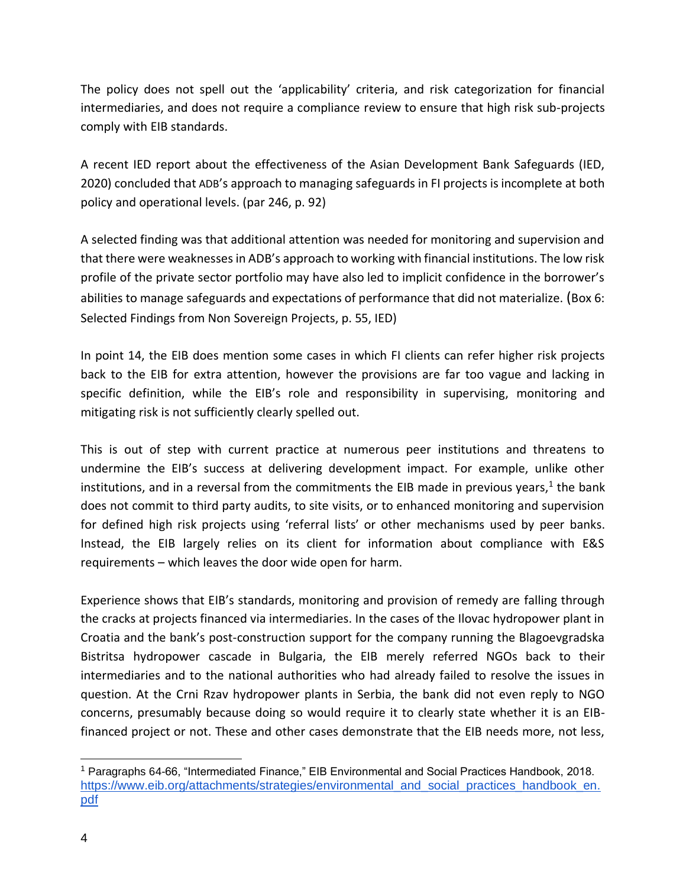The policy does not spell out the 'applicability' criteria, and risk categorization for financial intermediaries, and does not require a compliance review to ensure that high risk sub-projects comply with EIB standards.

A recent IED report about the effectiveness of the Asian Development Bank Safeguards (IED, 2020) concluded that ADB's approach to managing safeguards in FI projects is incomplete at both policy and operational levels. (par 246, p. 92)

A selected finding was that additional attention was needed for monitoring and supervision and that there were weaknesses in ADB's approach to working with financial institutions. The low risk profile of the private sector portfolio may have also led to implicit confidence in the borrower's abilities to manage safeguards and expectations of performance that did not materialize. (Box 6: Selected Findings from Non Sovereign Projects, p. 55, IED)

In point 14, the EIB does mention some cases in which FI clients can refer higher risk projects back to the EIB for extra attention, however the provisions are far too vague and lacking in specific definition, while the EIB's role and responsibility in supervising, monitoring and mitigating risk is not sufficiently clearly spelled out.

This is out of step with current practice at numerous peer institutions and threatens to undermine the EIB's success at delivering development impact. For example, unlike other institutions, and in a reversal from the commitments the EIB made in previous years,<sup>1</sup> the bank does not commit to third party audits, to site visits, or to enhanced monitoring and supervision for defined high risk projects using 'referral lists' or other mechanisms used by peer banks. Instead, the EIB largely relies on its client for information about compliance with E&S requirements – which leaves the door wide open for harm.

Experience shows that EIB's standards, monitoring and provision of remedy are falling through the cracks at projects financed via intermediaries. In the cases of the Ilovac hydropower plant in Croatia and the bank's post-construction support for the company running the Blagoevgradska Bistritsa hydropower cascade in Bulgaria, the EIB merely referred NGOs back to their intermediaries and to the national authorities who had already failed to resolve the issues in question. At the Crni Rzav hydropower plants in Serbia, the bank did not even reply to NGO concerns, presumably because doing so would require it to clearly state whether it is an EIBfinanced project or not. These and other cases demonstrate that the EIB needs more, not less,

<sup>1</sup> Paragraphs 64-66, "Intermediated Finance," EIB Environmental and Social Practices Handbook, 2018. [https://www.eib.org/attachments/strategies/environmental\\_and\\_social\\_practices\\_handbook\\_en.](https://www.eib.org/attachments/strategies/environmental_and_social_practices_handbook_en.pdf) [pdf](https://www.eib.org/attachments/strategies/environmental_and_social_practices_handbook_en.pdf)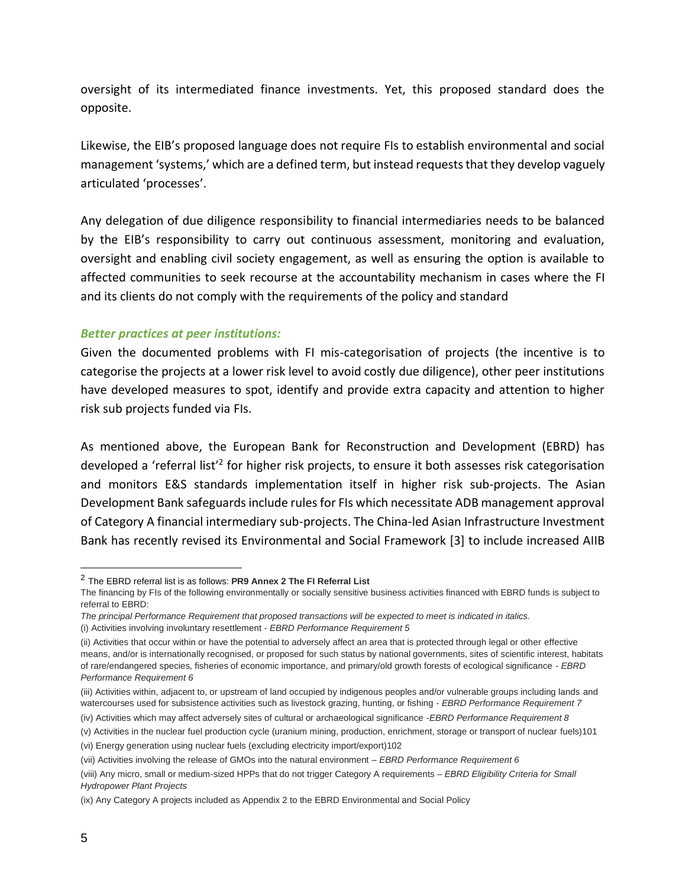oversight of its intermediated finance investments. Yet, this proposed standard does the opposite.

Likewise, the EIB's proposed language does not require FIs to establish environmental and social management 'systems,' which are a defined term, but instead requests that they develop vaguely articulated 'processes'.

Any delegation of due diligence responsibility to financial intermediaries needs to be balanced by the EIB's responsibility to carry out continuous assessment, monitoring and evaluation, oversight and enabling civil society engagement, as well as ensuring the option is available to affected communities to seek recourse at the accountability mechanism in cases where the FI and its clients do not comply with the requirements of the policy and standard

#### *Better practices at peer institutions:*

Given the documented problems with FI mis-categorisation of projects (the incentive is to categorise the projects at a lower risk level to avoid costly due diligence), other peer institutions have developed measures to spot, identify and provide extra capacity and attention to higher risk sub projects funded via FIs.

As mentioned above, the European Bank for Reconstruction and Development (EBRD) has developed a 'referral list<sup>'2</sup> for higher risk projects, to ensure it both assesses risk categorisation and monitors E&S standards implementation itself in higher risk sub-projects. The Asian Development Bank safeguards include rules for FIs which necessitate ADB management approval of Category A financial intermediary sub-projects. The China-led Asian Infrastructure Investment Bank has recently revised its Environmental and Social Framework [3] to include increased AIIB

<sup>2</sup> The EBRD referral list is as follows: **PR9 Annex 2 The FI Referral List** 

The financing by FIs of the following environmentally or socially sensitive business activities financed with EBRD funds is subject to referral to EBRD:

*The principal Performance Requirement that proposed transactions will be expected to meet is indicated in italics.* 

<sup>(</sup>i) Activities involving involuntary resettlement - *EBRD Performance Requirement 5* 

<sup>(</sup>ii) Activities that occur within or have the potential to adversely affect an area that is protected through legal or other effective means, and/or is internationally recognised, or proposed for such status by national governments, sites of scientific interest, habitats of rare/endangered species, fisheries of economic importance, and primary/old growth forests of ecological significance - *EBRD Performance Requirement 6* 

<sup>(</sup>iii) Activities within, adjacent to, or upstream of land occupied by indigenous peoples and/or vulnerable groups including lands and watercourses used for subsistence activities such as livestock grazing, hunting, or fishing - *EBRD Performance Requirement 7* 

<sup>(</sup>iv) Activities which may affect adversely sites of cultural or archaeological significance -*EBRD Performance Requirement 8*  (v) Activities in the nuclear fuel production cycle (uranium mining, production, enrichment, storage or transport of nuclear fuels)101

<sup>(</sup>vi) Energy generation using nuclear fuels (excluding electricity import/export)102

<sup>(</sup>vii) Activities involving the release of GMOs into the natural environment – *EBRD Performance Requirement 6* 

<sup>(</sup>viii) Any micro, small or medium-sized HPPs that do not trigger Category A requirements – *EBRD Eligibility Criteria for Small Hydropower Plant Projects* 

<sup>(</sup>ix) Any Category A projects included as Appendix 2 to the EBRD Environmental and Social Policy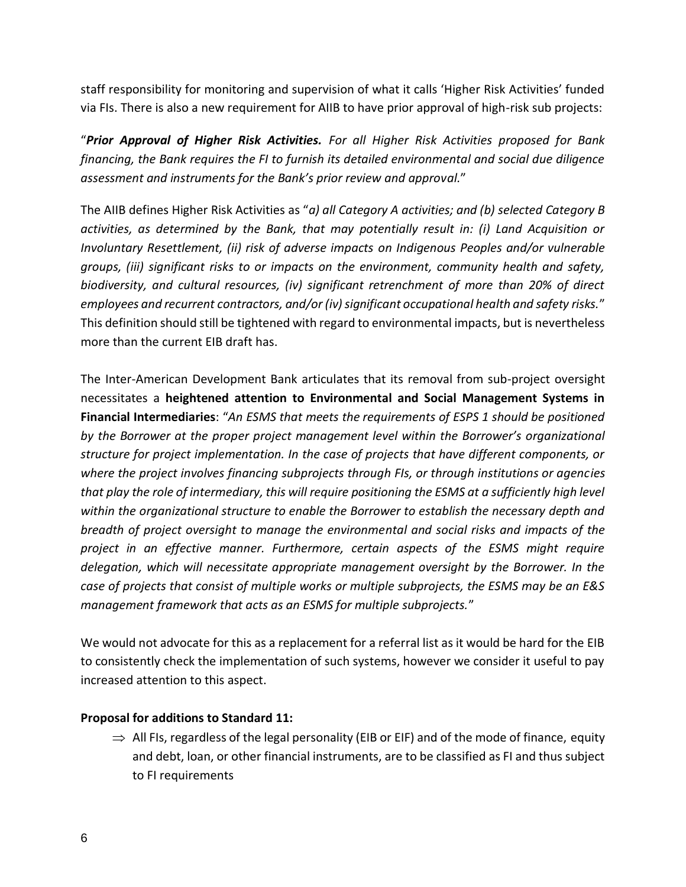staff responsibility for monitoring and supervision of what it calls 'Higher Risk Activities' funded via FIs. There is also a new requirement for AIIB to have prior approval of high-risk sub projects:

"*Prior Approval of Higher Risk Activities. For all Higher Risk Activities proposed for Bank financing, the Bank requires the FI to furnish its detailed environmental and social due diligence assessment and instruments for the Bank's prior review and approval.*"

The AIIB defines Higher Risk Activities as "*a) all Category A activities; and (b) selected Category B activities, as determined by the Bank, that may potentially result in: (i) Land Acquisition or Involuntary Resettlement, (ii) risk of adverse impacts on Indigenous Peoples and/or vulnerable groups, (iii) significant risks to or impacts on the environment, community health and safety, biodiversity, and cultural resources, (iv) significant retrenchment of more than 20% of direct employees and recurrent contractors, and/or (iv) significant occupational health and safety risks.*" This definition should still be tightened with regard to environmental impacts, but is nevertheless more than the current EIB draft has.

The Inter-American Development Bank articulates that its removal from sub-project oversight necessitates a **heightened attention to Environmental and Social Management Systems in Financial Intermediaries**: "*An ESMS that meets the requirements of ESPS 1 should be positioned by the Borrower at the proper project management level within the Borrower's organizational structure for project implementation. In the case of projects that have different components, or where the project involves financing subprojects through FIs, or through institutions or agencies that play the role of intermediary, this will require positioning the ESMS at a sufficiently high level within the organizational structure to enable the Borrower to establish the necessary depth and breadth of project oversight to manage the environmental and social risks and impacts of the project in an effective manner. Furthermore, certain aspects of the ESMS might require delegation, which will necessitate appropriate management oversight by the Borrower. In the case of projects that consist of multiple works or multiple subprojects, the ESMS may be an E&S management framework that acts as an ESMS for multiple subprojects.*"

We would not advocate for this as a replacement for a referral list as it would be hard for the EIB to consistently check the implementation of such systems, however we consider it useful to pay increased attention to this aspect.

#### **Proposal for additions to Standard 11:**

 $\Rightarrow$  All FIs, regardless of the legal personality (EIB or EIF) and of the mode of finance, equity and debt, loan, or other financial instruments, are to be classified as FI and thus subject to FI requirements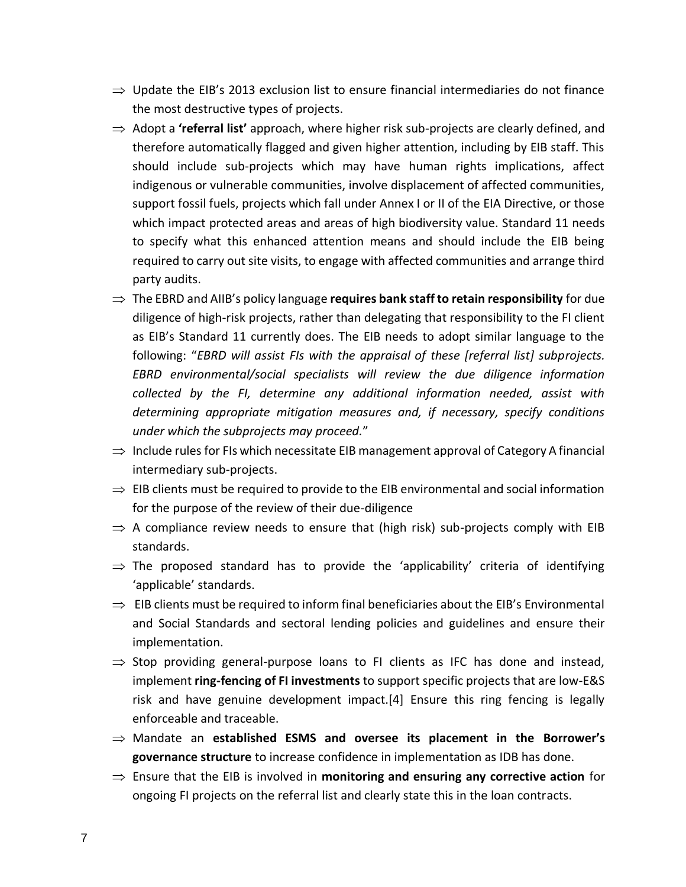- $\Rightarrow$  Update the EIB's 2013 exclusion list to ensure financial intermediaries do not finance the most destructive types of projects.
- ⇒ Adopt a **'referral list'** approach, where higher risk sub-projects are clearly defined, and therefore automatically flagged and given higher attention, including by EIB staff. This should include sub-projects which may have human rights implications, affect indigenous or vulnerable communities, involve displacement of affected communities, support fossil fuels, projects which fall under Annex I or II of the EIA Directive, or those which impact protected areas and areas of high biodiversity value. Standard 11 needs to specify what this enhanced attention means and should include the EIB being required to carry out site visits, to engage with affected communities and arrange third party audits.
- $\Rightarrow$  The EBRD and AIIB's policy language **requires bank staff to retain responsibility** for due diligence of high-risk projects, rather than delegating that responsibility to the FI client as EIB's Standard 11 currently does. The EIB needs to adopt similar language to the following: "*EBRD will assist FIs with the appraisal of these [referral list] subprojects. EBRD environmental/social specialists will review the due diligence information collected by the FI, determine any additional information needed, assist with determining appropriate mitigation measures and, if necessary, specify conditions under which the subprojects may proceed.*"
- $\Rightarrow$  Include rules for FIs which necessitate EIB management approval of Category A financial intermediary sub-projects.
- $\Rightarrow$  EIB clients must be required to provide to the EIB environmental and social information for the purpose of the review of their due-diligence
- $\Rightarrow$  A compliance review needs to ensure that (high risk) sub-projects comply with EIB standards.
- $\Rightarrow$  The proposed standard has to provide the 'applicability' criteria of identifying 'applicable' standards.
- $\Rightarrow$  EIB clients must be required to inform final beneficiaries about the EIB's Environmental and Social Standards and sectoral lending policies and guidelines and ensure their implementation.
- $\Rightarrow$  Stop providing general-purpose loans to FI clients as IFC has done and instead, implement **ring-fencing of FI investments** to support specific projects that are low-E&S risk and have genuine development impact.[4] Ensure this ring fencing is legally enforceable and traceable.
- Mandate an **established ESMS and oversee its placement in the Borrower's governance structure** to increase confidence in implementation as IDB has done.
- $\Rightarrow$  Ensure that the EIB is involved in **monitoring and ensuring any corrective action** for ongoing FI projects on the referral list and clearly state this in the loan contracts.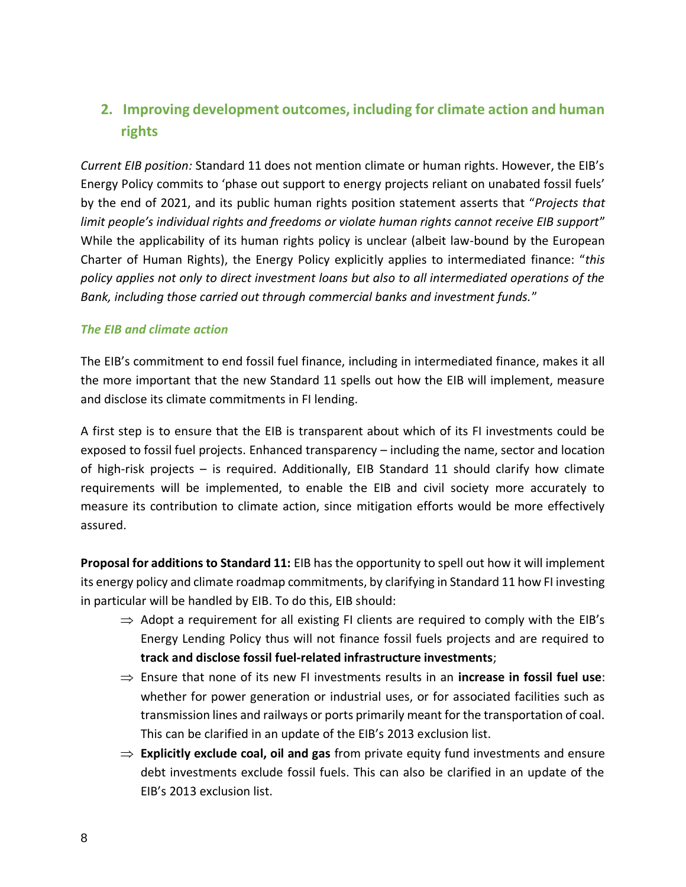# **2. Improving development outcomes, including for climate action and human rights**

*Current EIB position:* Standard 11 does not mention climate or human rights. However, the EIB's Energy Policy commits to 'phase out support to energy projects reliant on unabated fossil fuels' by the end of 2021, and its public human rights position statement asserts that "*Projects that limit people's individual rights and freedoms or violate human rights cannot receive EIB support*" While the applicability of its human rights policy is unclear (albeit law-bound by the European Charter of Human Rights), the Energy Policy explicitly applies to intermediated finance: "*this policy applies not only to direct investment loans but also to all intermediated operations of the Bank, including those carried out through commercial banks and investment funds.*"

#### *The EIB and climate action*

The EIB's commitment to end fossil fuel finance, including in intermediated finance, makes it all the more important that the new Standard 11 spells out how the EIB will implement, measure and disclose its climate commitments in FI lending.

A first step is to ensure that the EIB is transparent about which of its FI investments could be exposed to fossil fuel projects. Enhanced transparency – including the name, sector and location of high-risk projects – is required. Additionally, EIB Standard 11 should clarify how climate requirements will be implemented, to enable the EIB and civil society more accurately to measure its contribution to climate action, since mitigation efforts would be more effectively assured.

**Proposal for additions to Standard 11:** EIB has the opportunity to spell out how it will implement its energy policy and climate roadmap commitments, by clarifying in Standard 11 how FI investing in particular will be handled by EIB. To do this, EIB should:

- $\Rightarrow$  Adopt a requirement for all existing FI clients are required to comply with the EIB's Energy Lending Policy thus will not finance fossil fuels projects and are required to **track and disclose fossil fuel-related infrastructure investments**;
- $\Rightarrow$  Ensure that none of its new FI investments results in an **increase in fossil fuel use**: whether for power generation or industrial uses, or for associated facilities such as transmission lines and railways or ports primarily meant for the transportation of coal. This can be clarified in an update of the EIB's 2013 exclusion list.
- $\Rightarrow$  **Explicitly exclude coal, oil and gas** from private equity fund investments and ensure debt investments exclude fossil fuels. This can also be clarified in an update of the EIB's 2013 exclusion list.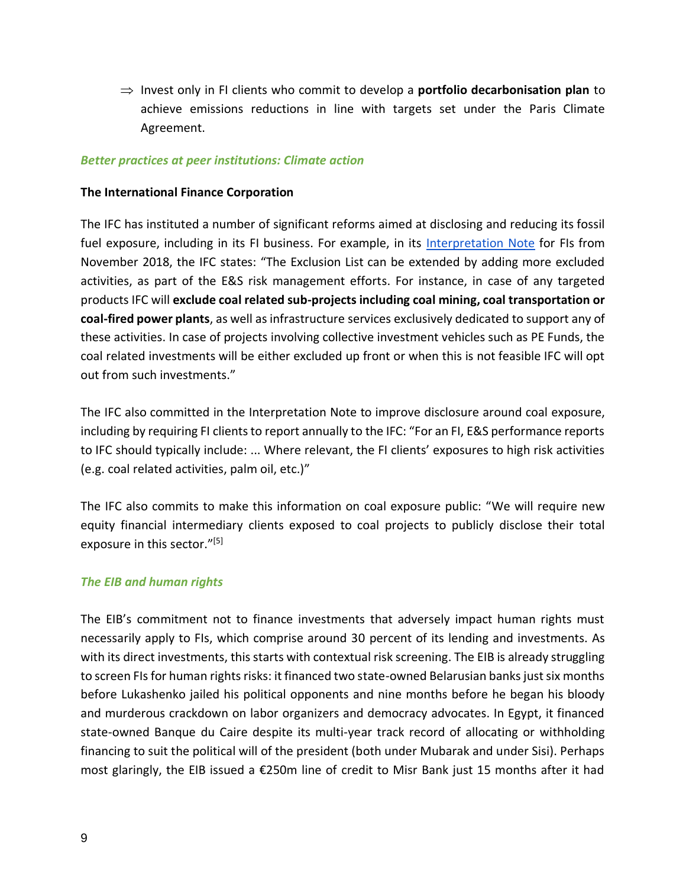$\Rightarrow$  Invest only in FI clients who commit to develop a **portfolio decarbonisation plan** to achieve emissions reductions in line with targets set under the Paris Climate Agreement.

#### *Better practices at peer institutions: Climate action*

#### **The International Finance Corporation**

The IFC has instituted a number of significant reforms aimed at disclosing and reducing its fossil fuel exposure, including in its FI business. For example, in its [Interpretation Note](https://www.ifc.org/wps/wcm/connect/topics_ext_content/ifc_external_corporate_site/sustainability-at-ifc/publications/publications_policy_interpretationnote-fi) for FIs from November 2018, the IFC states: "The Exclusion List can be extended by adding more excluded activities, as part of the E&S risk management efforts. For instance, in case of any targeted products IFC will **exclude coal related sub-projects including coal mining, coal transportation or coal-fired power plants**, as well as infrastructure services exclusively dedicated to support any of these activities. In case of projects involving collective investment vehicles such as PE Funds, the coal related investments will be either excluded up front or when this is not feasible IFC will opt out from such investments."

The IFC also committed in the Interpretation Note to improve disclosure around coal exposure, including by requiring FI clients to report annually to the IFC: "For an FI, E&S performance reports to IFC should typically include: ... Where relevant, the FI clients' exposures to high risk activities (e.g. coal related activities, palm oil, etc.)"

The IFC also commits to make this information on coal exposure public: "We will require new equity financial intermediary clients exposed to coal projects to publicly disclose their total exposure in this sector."<sup>[5]</sup>

#### *The EIB and human rights*

The EIB's commitment not to finance investments that adversely impact human rights must necessarily apply to FIs, which comprise around 30 percent of its lending and investments. As with its direct investments, this starts with contextual risk screening. The EIB is already struggling to screen FIs for human rights risks: it financed two state-owned Belarusian banks just six months before Lukashenko jailed his political opponents and nine months before he began his bloody and murderous crackdown on labor organizers and democracy advocates. In Egypt, it financed state-owned Banque du Caire despite its multi-year track record of allocating or withholding financing to suit the political will of the president (both under Mubarak and under Sisi). Perhaps most glaringly, the EIB issued a €250m line of credit to Misr Bank just 15 months after it had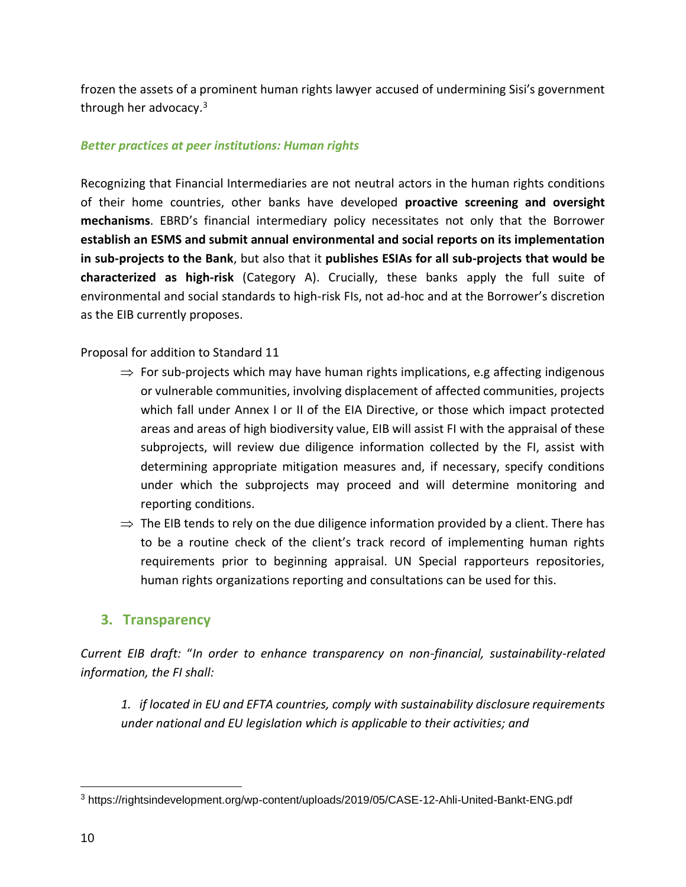frozen the assets of a prominent human rights lawyer accused of undermining Sisi's government through her advocacy.<sup>3</sup>

#### *Better practices at peer institutions: Human rights*

Recognizing that Financial Intermediaries are not neutral actors in the human rights conditions of their home countries, other banks have developed **proactive screening and oversight mechanisms**. EBRD's financial intermediary policy necessitates not only that the Borrower **establish an ESMS and submit annual environmental and social reports on its implementation in sub-projects to the Bank**, but also that it **publishes ESIAs for all sub-projects that would be characterized as high-risk** (Category A). Crucially, these banks apply the full suite of environmental and social standards to high-risk FIs, not ad-hoc and at the Borrower's discretion as the EIB currently proposes.

Proposal for addition to Standard 11

- $\Rightarrow$  For sub-projects which may have human rights implications, e.g affecting indigenous or vulnerable communities, involving displacement of affected communities, projects which fall under Annex I or II of the EIA Directive, or those which impact protected areas and areas of high biodiversity value, EIB will assist FI with the appraisal of these subprojects, will review due diligence information collected by the FI, assist with determining appropriate mitigation measures and, if necessary, specify conditions under which the subprojects may proceed and will determine monitoring and reporting conditions.
- $\Rightarrow$  The EIB tends to rely on the due diligence information provided by a client. There has to be a routine check of the client's track record of implementing human rights requirements prior to beginning appraisal. UN Special rapporteurs repositories, human rights organizations reporting and consultations can be used for this.

# **3. Transparency**

*Current EIB draft:* "*In order to enhance transparency on non-financial, sustainability-related information, the FI shall:* 

*1. if located in EU and EFTA countries, comply with sustainability disclosure requirements under national and EU legislation which is applicable to their activities; and* 

<sup>3</sup> <https://rightsindevelopment.org/wp-content/uploads/2019/05/CASE-12-Ahli-United-Bankt-ENG.pdf>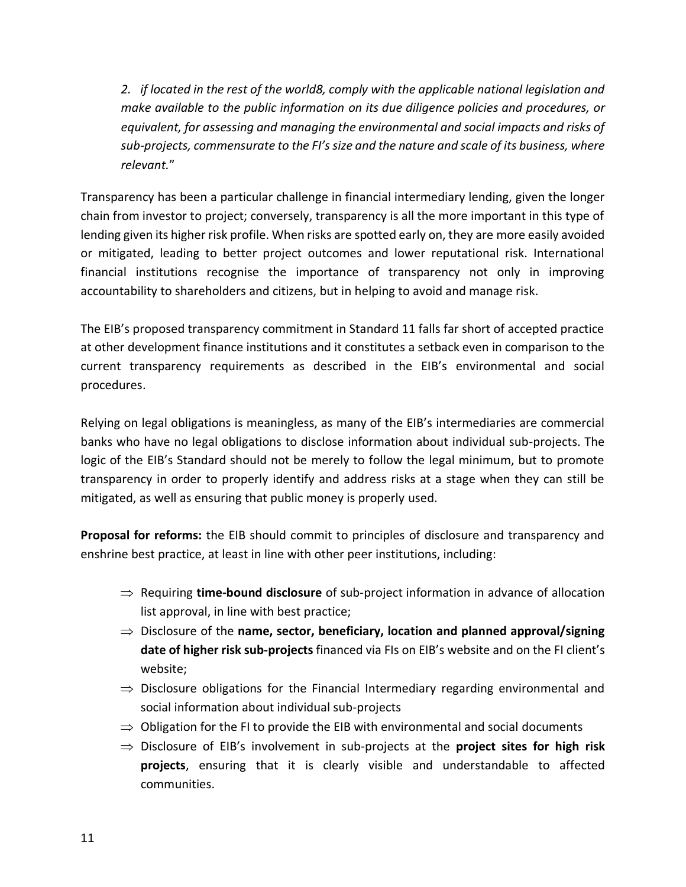*2. if located in the rest of the world8, comply with the applicable national legislation and make available to the public information on its due diligence policies and procedures, or equivalent, for assessing and managing the environmental and social impacts and risks of sub-projects, commensurate to the FI's size and the nature and scale of its business, where relevant.*"

Transparency has been a particular challenge in financial intermediary lending, given the longer chain from investor to project; conversely, transparency is all the more important in this type of lending given its higher risk profile. When risks are spotted early on, they are more easily avoided or mitigated, leading to better project outcomes and lower reputational risk. International financial institutions recognise the importance of transparency not only in improving accountability to shareholders and citizens, but in helping to avoid and manage risk.

The EIB's proposed transparency commitment in Standard 11 falls far short of accepted practice at other development finance institutions and it constitutes a setback even in comparison to the current transparency requirements as described in the EIB's environmental and social procedures.

Relying on legal obligations is meaningless, as many of the EIB's intermediaries are commercial banks who have no legal obligations to disclose information about individual sub-projects. The logic of the EIB's Standard should not be merely to follow the legal minimum, but to promote transparency in order to properly identify and address risks at a stage when they can still be mitigated, as well as ensuring that public money is properly used.

**Proposal for reforms:** the EIB should commit to principles of disclosure and transparency and enshrine best practice, at least in line with other peer institutions, including:

- $\Rightarrow$  Requiring **time-bound disclosure** of sub-project information in advance of allocation list approval, in line with best practice;
- Disclosure of the **name, sector, beneficiary, location and planned approval/signing date of higher risk sub-projects** financed via FIs on EIB's website and on the FI client's website;
- $\Rightarrow$  Disclosure obligations for the Financial Intermediary regarding environmental and social information about individual sub-projects
- $\Rightarrow$  Obligation for the FI to provide the EIB with environmental and social documents
- $\Rightarrow$  Disclosure of EIB's involvement in sub-projects at the **project sites for high risk projects**, ensuring that it is clearly visible and understandable to affected communities.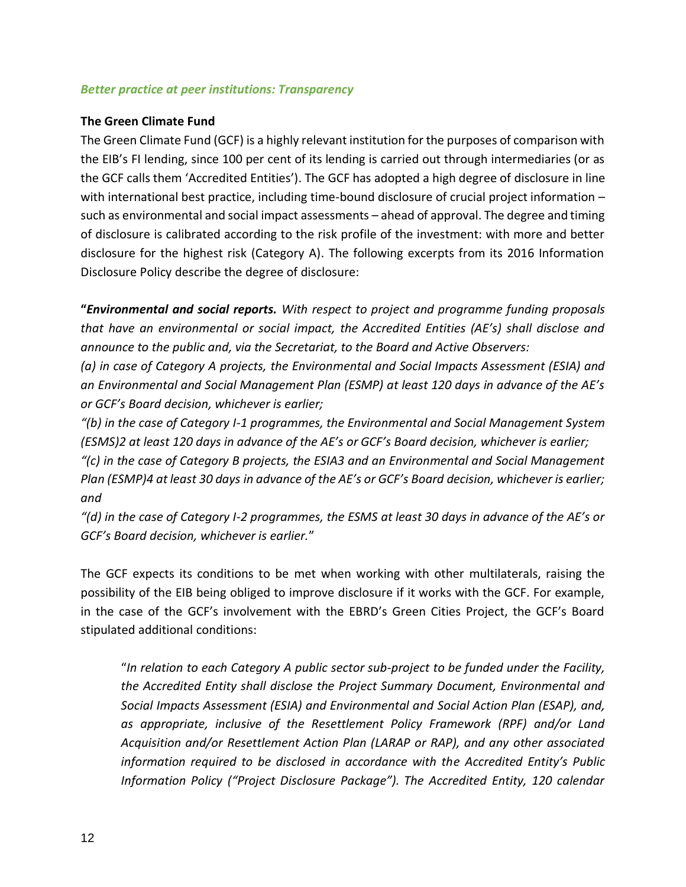#### *Better practice at peer institutions: Transparency*

#### **The Green Climate Fund**

The Green Climate Fund (GCF) is a highly relevant institution for the purposes of comparison with the EIB's FI lending, since 100 per cent of its lending is carried out through intermediaries (or as the GCF calls them 'Accredited Entities'). The GCF has adopted a high degree of disclosure in line with international best practice, including time-bound disclosure of crucial project information such as environmental and social impact assessments – ahead of approval. The degree and timing of disclosure is calibrated according to the risk profile of the investment: with more and better disclosure for the highest risk (Category A). The following excerpts from its 2016 Information Disclosure Policy describe the degree of disclosure:

**"***Environmental and social reports. With respect to project and programme funding proposals that have an environmental or social impact, the Accredited Entities (AE's) shall disclose and announce to the public and, via the Secretariat, to the Board and Active Observers:* 

*(a) in case of Category A projects, the Environmental and Social Impacts Assessment (ESIA) and an Environmental and Social Management Plan (ESMP) at least 120 days in advance of the AE's or GCF's Board decision, whichever is earlier;* 

*"(b) in the case of Category I-1 programmes, the Environmental and Social Management System (ESMS)2 at least 120 days in advance of the AE's or GCF's Board decision, whichever is earlier;* 

*"(c) in the case of Category B projects, the ESIA3 and an Environmental and Social Management Plan (ESMP)4 at least 30 days in advance of the AE's or GCF's Board decision, whichever is earlier; and* 

*"(d) in the case of Category I-2 programmes, the ESMS at least 30 days in advance of the AE's or GCF's Board decision, whichever is earlier.*"

The GCF expects its conditions to be met when working with other multilaterals, raising the possibility of the EIB being obliged to improve disclosure if it works with the GCF. For example, in the case of the GCF's involvement with the EBRD's Green Cities Project, the GCF's Board stipulated additional conditions:

"*In relation to each Category A public sector sub-project to be funded under the Facility, the Accredited Entity shall disclose the Project Summary Document, Environmental and Social Impacts Assessment (ESIA) and Environmental and Social Action Plan (ESAP), and, as appropriate, inclusive of the Resettlement Policy Framework (RPF) and/or Land Acquisition and/or Resettlement Action Plan (LARAP or RAP), and any other associated information required to be disclosed in accordance with the Accredited Entity's Public Information Policy ("Project Disclosure Package"). The Accredited Entity, 120 calendar*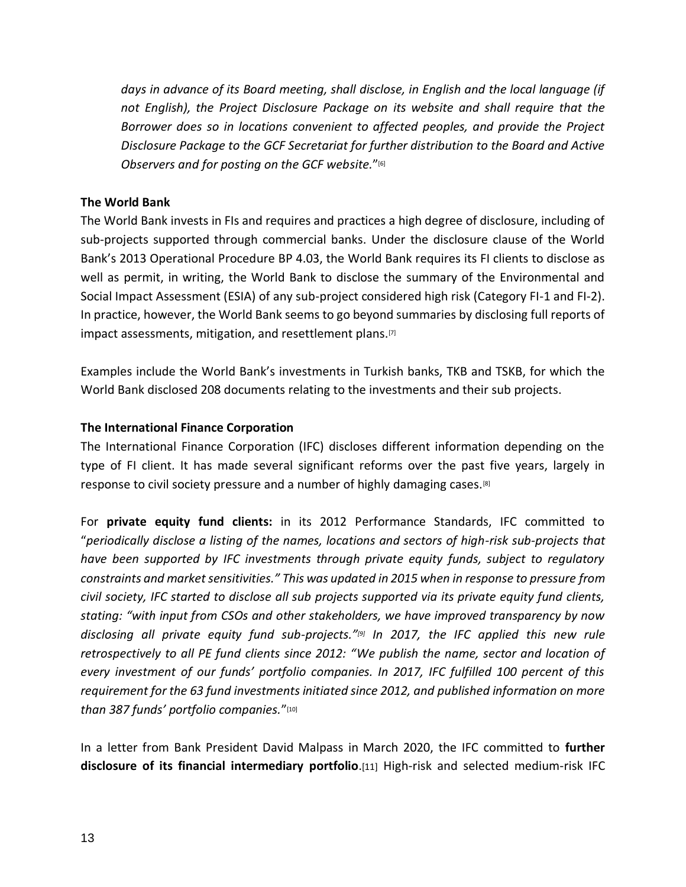*days in advance of its Board meeting, shall disclose, in English and the local language (if not English), the Project Disclosure Package on its website and shall require that the Borrower does so in locations convenient to affected peoples, and provide the Project Disclosure Package to the GCF Secretariat for further distribution to the Board and Active Observers and for posting on the GCF website.*"[6]

#### **The World Bank**

The World Bank invests in FIs and requires and practices a high degree of disclosure, including of sub-projects supported through commercial banks. Under the disclosure clause of the World Bank's 2013 Operational Procedure BP 4.03, the World Bank requires its FI clients to disclose as well as permit, in writing, the World Bank to disclose the summary of the Environmental and Social Impact Assessment (ESIA) of any sub-project considered high risk (Category FI-1 and FI-2). In practice, however, the World Bank seems to go beyond summaries by disclosing full reports of impact assessments, mitigation, and resettlement plans.<sup>[7]</sup>

Examples include the World Bank's investments in Turkish banks, TKB and TSKB, for which the World Bank disclosed 208 documents relating to the investments and their sub projects.

#### **The International Finance Corporation**

The International Finance Corporation (IFC) discloses different information depending on the type of FI client. It has made several significant reforms over the past five years, largely in response to civil society pressure and a number of highly damaging cases.[8]

For **private equity fund clients:** in its 2012 Performance Standards, IFC committed to "*periodically disclose a listing of the names, locations and sectors of high-risk sub-projects that have been supported by IFC investments through private equity funds, subject to regulatory constraints and market sensitivities." This was updated in 2015 when in response to pressure from civil society, IFC started to disclose all sub projects supported via its private equity fund clients, stating: "with input from CSOs and other stakeholders, we have improved transparency by now disclosing all private equity fund sub-projects."[9] In 2017, the IFC applied this new rule retrospectively to all PE fund clients since 2012: "We publish the name, sector and location of every investment of our funds' portfolio companies. In 2017, IFC fulfilled 100 percent of this requirement for the 63 fund investments initiated since 2012, and published information on more than 387 funds' portfolio companies.*"[10]

In a letter from Bank President David Malpass in March 2020, the IFC committed to **further disclosure of its financial intermediary portfolio**.[11] High-risk and selected medium-risk IFC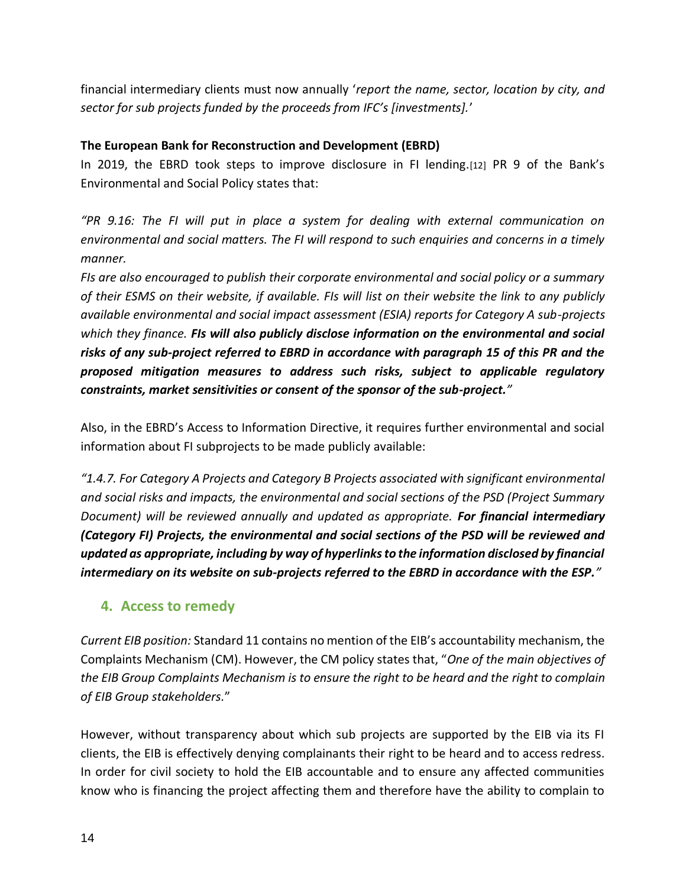financial intermediary clients must now annually '*report the name, sector, location by city, and sector for sub projects funded by the proceeds from IFC's [investments].*'

## **The European Bank for Reconstruction and Development (EBRD)**

In 2019, the EBRD took steps to improve disclosure in FI lending.[12] PR 9 of the Bank's Environmental and Social Policy states that:

*"PR 9.16: The FI will put in place a system for dealing with external communication on environmental and social matters. The FI will respond to such enquiries and concerns in a timely manner.* 

*FIs are also encouraged to publish their corporate environmental and social policy or a summary of their ESMS on their website, if available. FIs will list on their website the link to any publicly available environmental and social impact assessment (ESIA) reports for Category A sub-projects which they finance. FIs will also publicly disclose information on the environmental and social risks of any sub-project referred to EBRD in accordance with paragraph 15 of this PR and the proposed mitigation measures to address such risks, subject to applicable regulatory constraints, market sensitivities or consent of the sponsor of the sub-project."*

Also, in the EBRD's Access to Information Directive, it requires further environmental and social information about FI subprojects to be made publicly available:

*"1.4.7. For Category A Projects and Category B Projects associated with significant environmental and social risks and impacts, the environmental and social sections of the PSD (Project Summary Document) will be reviewed annually and updated as appropriate. For financial intermediary (Category FI) Projects, the environmental and social sections of the PSD will be reviewed and updated as appropriate, including by way of hyperlinks to the information disclosed by financial intermediary on its website on sub-projects referred to the EBRD in accordance with the ESP."*

# **4. Access to remedy**

*Current EIB position:* Standard 11 contains no mention of the EIB's accountability mechanism, the Complaints Mechanism (CM). However, the CM policy states that, "*One of the main objectives of the EIB Group Complaints Mechanism is to ensure the right to be heard and the right to complain of EIB Group stakeholders.*"

However, without transparency about which sub projects are supported by the EIB via its FI clients, the EIB is effectively denying complainants their right to be heard and to access redress. In order for civil society to hold the EIB accountable and to ensure any affected communities know who is financing the project affecting them and therefore have the ability to complain to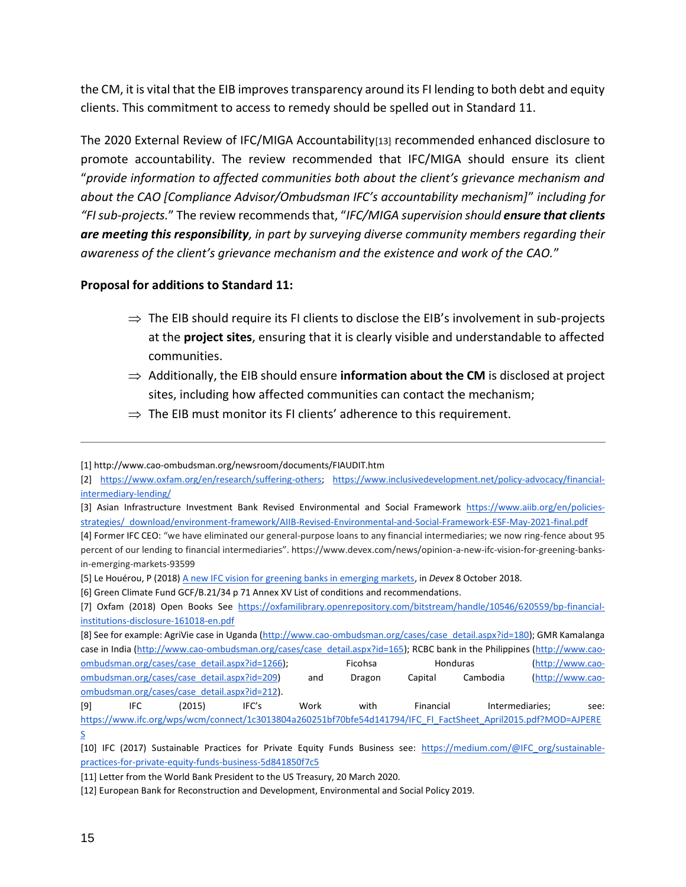the CM, it is vital that the EIB improves transparency around its FI lending to both debt and equity clients. This commitment to access to remedy should be spelled out in Standard 11.

The 2020 External Review of IFC/MIGA Accountability[13] recommended enhanced disclosure to promote accountability. The review recommended that IFC/MIGA should ensure its client "*provide information to affected communities both about the client's grievance mechanism and about the CAO [Compliance Advisor/Ombudsman IFC's accountability mechanism]*" *including for "FI sub-projects.*" The review recommends that, "*IFC/MIGA supervision should ensure that clients are meeting this responsibility, in part by surveying diverse community members regarding their awareness of the client's grievance mechanism and the existence and work of the CAO.*"

#### **Proposal for additions to Standard 11:**

- $\Rightarrow$  The EIB should require its FI clients to disclose the EIB's involvement in sub-projects at the **project sites**, ensuring that it is clearly visible and understandable to affected communities.
- $\Rightarrow$  Additionally, the EIB should ensure **information about the CM** is disclosed at project sites, including how affected communities can contact the mechanism;
- $\Rightarrow$  The EIB must monitor its FI clients' adherence to this requirement.

<sup>[1]</sup> http://www.cao-ombudsman.org/newsroom/documents/FIAUDIT.htm

<sup>[2]</sup> [https://www.oxfam.org/en/research/suffering-others;](https://www.oxfam.org/en/research/suffering-others) [https://www.inclusivedevelopment.net/policy-advocacy/financial](https://www.inclusivedevelopment.net/policy-advocacy/financial-intermediary-lending/)[intermediary-lending/](https://www.inclusivedevelopment.net/policy-advocacy/financial-intermediary-lending/)

<sup>[3]</sup> Asian Infrastructure Investment Bank Revised Environmental and Social Framework [https://www.aiib.org/en/policies](https://www.aiib.org/en/policies-strategies/_download/environment-framework/AIIB-Revised-Environmental-and-Social-Framework-ESF-May-2021-final.pdf)[strategies/\\_download/environment-framework/AIIB-Revised-Environmental-and-Social-Framework-ESF-May-2021-final.pdf](https://www.aiib.org/en/policies-strategies/_download/environment-framework/AIIB-Revised-Environmental-and-Social-Framework-ESF-May-2021-final.pdf)

<sup>[4]</sup> Former IFC CEO: "we have eliminated our general-purpose loans to any financial intermediaries; we now ring-fence about 95 percent of our lending to financial intermediaries". https://www.devex.com/news/opinion-a-new-ifc-vision-for-greening-banksin-emerging-markets-93599

<sup>[5]</sup> Le Houérou, P (2018) [A new IFC vision for greening banks in emerging markets,](https://www.devex.com/news/opinion-a-new-ifc-vision-for-greening-banks-in-emerging-markets-93599) in *Devex* 8 October 2018.

<sup>[6]</sup> Green Climate Fund GCF/B.21/34 p 71 Annex XV List of conditions and recommendations.

<sup>[7]</sup> Oxfam (2018) Open Books See [https://oxfamilibrary.openrepository.com/bitstream/handle/10546/620559/bp-financial](https://oxfamilibrary.openrepository.com/bitstream/handle/10546/620559/bp-financial-institutions-disclosure-161018-en.pdf)[institutions-disclosure-161018-en.pdf](https://oxfamilibrary.openrepository.com/bitstream/handle/10546/620559/bp-financial-institutions-disclosure-161018-en.pdf)

<sup>[8]</sup> See for example: AgriVie case in Uganda [\(http://www.cao-ombudsman.org/cases/case\\_detail.aspx?id=180\)](http://www.cao-ombudsman.org/cases/case_detail.aspx?id=180); GMR Kamalanga case in India [\(http://www.cao-ombudsman.org/cases/case\\_detail.aspx?id=165\)](http://www.cao-ombudsman.org/cases/case_detail.aspx?id=165); RCBC bank in the Philippines [\(http://www.cao](http://www.cao-ombudsman.org/cases/case_detail.aspx?id=1266)[ombudsman.org/cases/case\\_detail.aspx?id=1266\)](http://www.cao-ombudsman.org/cases/case_detail.aspx?id=1266); Ficohsa Honduras [\(http://www.cao](http://www.cao-ombudsman.org/cases/case_detail.aspx?id=209)[ombudsman.org/cases/case\\_detail.aspx?id=209\)](http://www.cao-ombudsman.org/cases/case_detail.aspx?id=209) and Dragon Capital Cambodia [\(http://www.cao](http://www.cao-ombudsman.org/cases/case_detail.aspx?id=212)[ombudsman.org/cases/case\\_detail.aspx?id=212\)](http://www.cao-ombudsman.org/cases/case_detail.aspx?id=212). [9] IFC (2015) IFC's Work with Financial Intermediaries; see:

[https://www.ifc.org/wps/wcm/connect/1c3013804a260251bf70bfe54d141794/IFC\\_FI\\_FactSheet\\_April2015.pdf?MOD=AJPERE](https://www.ifc.org/wps/wcm/connect/1c3013804a260251bf70bfe54d141794/IFC_FI_FactSheet_April2015.pdf?MOD=AJPERES) [S](https://www.ifc.org/wps/wcm/connect/1c3013804a260251bf70bfe54d141794/IFC_FI_FactSheet_April2015.pdf?MOD=AJPERES)

<sup>[10]</sup> IFC (2017) Sustainable Practices for Private Equity Funds Business see: [https://medium.com/@IFC\\_org/sustainable](https://medium.com/@IFC_org/sustainable-practices-for-private-equity-funds-business-5d841850f7c5)[practices-for-private-equity-funds-business-5d841850f7c5](https://medium.com/@IFC_org/sustainable-practices-for-private-equity-funds-business-5d841850f7c5)

<sup>[11]</sup> Letter from the World Bank President to the US Treasury, 20 March 2020.

<sup>[12]</sup> European Bank for Reconstruction and Development, Environmental and Social Policy 2019.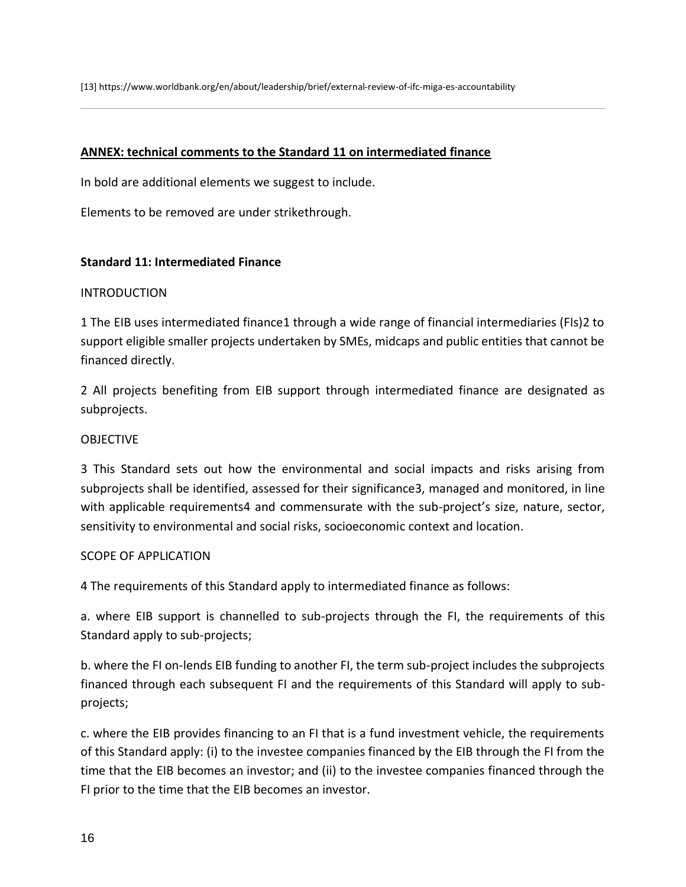[13] https://www.worldbank.org/en/about/leadership/brief/external-review-of-ifc-miga-es-accountability

#### **ANNEX: technical comments to the Standard 11 on intermediated finance**

In bold are additional elements we suggest to include.

Elements to be removed are under strikethrough.

#### **Standard 11: Intermediated Finance**

#### INTRODUCTION

1 The EIB uses intermediated finance1 through a wide range of financial intermediaries (FIs)2 to support eligible smaller projects undertaken by SMEs, midcaps and public entities that cannot be financed directly.

2 All projects benefiting from EIB support through intermediated finance are designated as subprojects.

#### OBJECTIVE

3 This Standard sets out how the environmental and social impacts and risks arising from subprojects shall be identified, assessed for their significance3, managed and monitored, in line with applicable requirements4 and commensurate with the sub-project's size, nature, sector, sensitivity to environmental and social risks, socioeconomic context and location.

#### SCOPE OF APPLICATION

4 The requirements of this Standard apply to intermediated finance as follows:

a. where EIB support is channelled to sub-projects through the FI, the requirements of this Standard apply to sub-projects;

b. where the FI on-lends EIB funding to another FI, the term sub-project includes the subprojects financed through each subsequent FI and the requirements of this Standard will apply to subprojects;

c. where the EIB provides financing to an FI that is a fund investment vehicle, the requirements of this Standard apply: (i) to the investee companies financed by the EIB through the FI from the time that the EIB becomes an investor; and (ii) to the investee companies financed through the FI prior to the time that the EIB becomes an investor.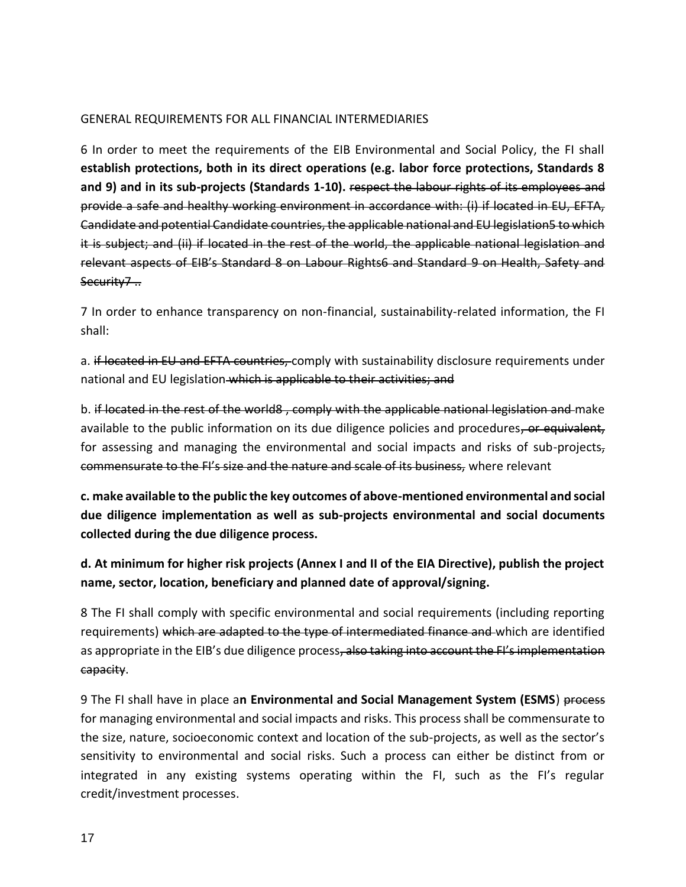#### GENERAL REQUIREMENTS FOR ALL FINANCIAL INTERMEDIARIES

6 In order to meet the requirements of the EIB Environmental and Social Policy, the FI shall **establish protections, both in its direct operations (e.g. labor force protections, Standards 8 and 9) and in its sub-projects (Standards 1-10).** respect the labour rights of its employees and provide a safe and healthy working environment in accordance with: (i) if located in EU, EFTA, Candidate and potential Candidate countries, the applicable national and EU legislation5 to which it is subject; and (ii) if located in the rest of the world, the applicable national legislation and relevant aspects of EIB's Standard 8 on Labour Rights6 and Standard 9 on Health, Safety and Security7...

7 In order to enhance transparency on non-financial, sustainability-related information, the FI shall:

a. if located in EU and EFTA countries, comply with sustainability disclosure requirements under national and EU legislation which is applicable to their activities; and

b. if located in the rest of the world8, comply with the applicable national legislation and make available to the public information on its due diligence policies and procedures, or equivalent, for assessing and managing the environmental and social impacts and risks of sub-projects, commensurate to the FI's size and the nature and scale of its business, where relevant

**c. make available to the public the key outcomes of above-mentioned environmental and social due diligence implementation as well as sub-projects environmental and social documents collected during the due diligence process.** 

**d. At minimum for higher risk projects (Annex I and II of the EIA Directive), publish the project name, sector, location, beneficiary and planned date of approval/signing.** 

8 The FI shall comply with specific environmental and social requirements (including reporting requirements) which are adapted to the type of intermediated finance and which are identified as appropriate in the EIB's due diligence process, also taking into account the FI's implementation capacity.

9 The FI shall have in place a**n Environmental and Social Management System (ESMS**) process for managing environmental and social impacts and risks. This process shall be commensurate to the size, nature, socioeconomic context and location of the sub-projects, as well as the sector's sensitivity to environmental and social risks. Such a process can either be distinct from or integrated in any existing systems operating within the FI, such as the FI's regular credit/investment processes.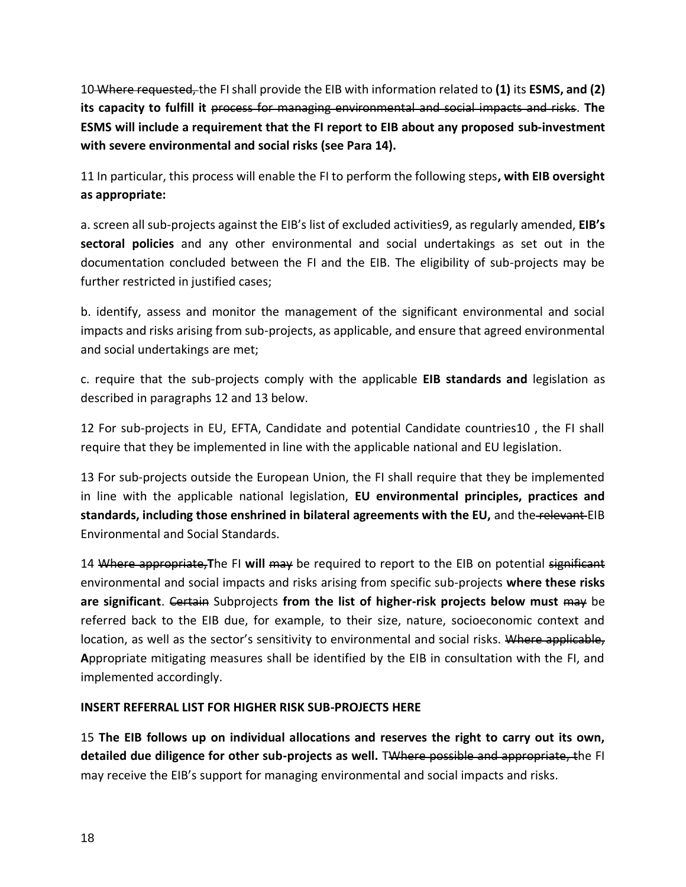10 Where requested, the FI shall provide the EIB with information related to **(1)** its **ESMS, and (2) its capacity to fulfill it** process for managing environmental and social impacts and risks. **The ESMS will include a requirement that the FI report to EIB about any proposed sub-investment with severe environmental and social risks (see Para 14).**

11 In particular, this process will enable the FI to perform the following steps**, with EIB oversight as appropriate:** 

a. screen all sub-projects against the EIB's list of excluded activities9, as regularly amended, **EIB's sectoral policies** and any other environmental and social undertakings as set out in the documentation concluded between the FI and the EIB. The eligibility of sub-projects may be further restricted in justified cases;

b. identify, assess and monitor the management of the significant environmental and social impacts and risks arising from sub-projects, as applicable, and ensure that agreed environmental and social undertakings are met;

c. require that the sub-projects comply with the applicable **EIB standards and** legislation as described in paragraphs 12 and 13 below.

12 For sub-projects in EU, EFTA, Candidate and potential Candidate countries10 , the FI shall require that they be implemented in line with the applicable national and EU legislation.

13 For sub-projects outside the European Union, the FI shall require that they be implemented in line with the applicable national legislation, **EU environmental principles, practices and standards, including those enshrined in bilateral agreements with the EU,** and the relevant EIB Environmental and Social Standards.

14 Where appropriate,**T**he FI **will** may be required to report to the EIB on potential significant environmental and social impacts and risks arising from specific sub-projects **where these risks are significant**. Certain Subprojects **from the list of higher-risk projects below must** may be referred back to the EIB due, for example, to their size, nature, socioeconomic context and location, as well as the sector's sensitivity to environmental and social risks. Where applicable, **A**ppropriate mitigating measures shall be identified by the EIB in consultation with the FI, and implemented accordingly.

#### **INSERT REFERRAL LIST FOR HIGHER RISK SUB-PROJECTS HERE**

15 **The EIB follows up on individual allocations and reserves the right to carry out its own, detailed due diligence for other sub-projects as well.** TWhere possible and appropriate, the FI may receive the EIB's support for managing environmental and social impacts and risks.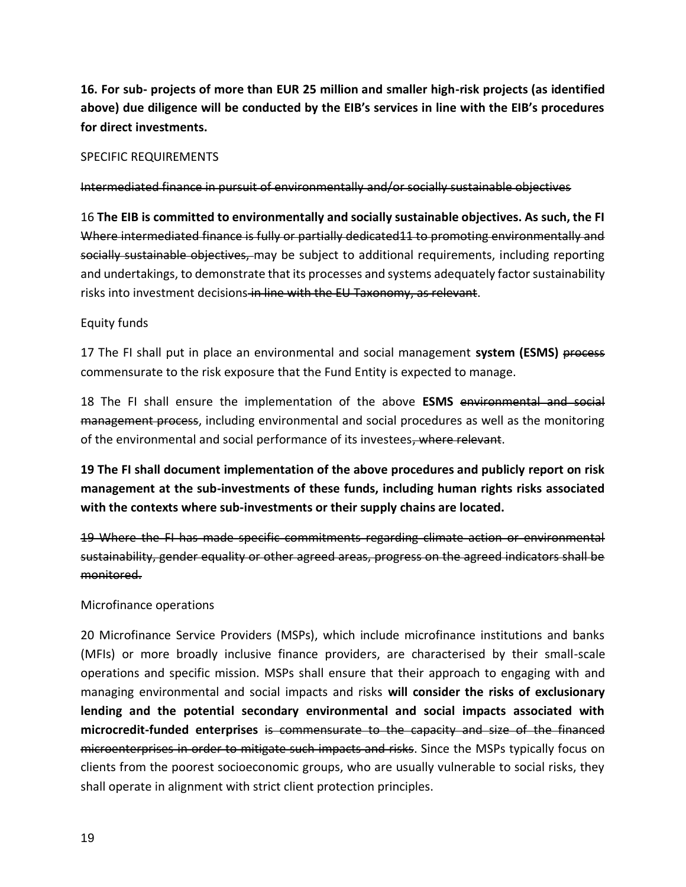# **16. For sub- projects of more than EUR 25 million and smaller high-risk projects (as identified above) due diligence will be conducted by the EIB's services in line with the EIB's procedures for direct investments.**

#### SPECIFIC REQUIREMENTS

Intermediated finance in pursuit of environmentally and/or socially sustainable objectives

16 **The EIB is committed to environmentally and socially sustainable objectives. As such, the FI**  Where intermediated finance is fully or partially dedicated11 to promoting environmentally and socially sustainable objectives, may be subject to additional requirements, including reporting and undertakings, to demonstrate that its processes and systems adequately factor sustainability risks into investment decisions in line with the EU Taxonomy, as relevant.

#### Equity funds

17 The FI shall put in place an environmental and social management **system (ESMS)** process commensurate to the risk exposure that the Fund Entity is expected to manage.

18 The FI shall ensure the implementation of the above **ESMS** environmental and social management process, including environmental and social procedures as well as the monitoring of the environmental and social performance of its investees, where relevant.

**19 The FI shall document implementation of the above procedures and publicly report on risk management at the sub-investments of these funds, including human rights risks associated with the contexts where sub-investments or their supply chains are located.**

19 Where the FI has made specific commitments regarding climate action or environmental sustainability, gender equality or other agreed areas, progress on the agreed indicators shall be monitored.

#### Microfinance operations

20 Microfinance Service Providers (MSPs), which include microfinance institutions and banks (MFIs) or more broadly inclusive finance providers, are characterised by their small-scale operations and specific mission. MSPs shall ensure that their approach to engaging with and managing environmental and social impacts and risks **will consider the risks of exclusionary lending and the potential secondary environmental and social impacts associated with microcredit-funded enterprises** is commensurate to the capacity and size of the financed microenterprises in order to mitigate such impacts and risks. Since the MSPs typically focus on clients from the poorest socioeconomic groups, who are usually vulnerable to social risks, they shall operate in alignment with strict client protection principles.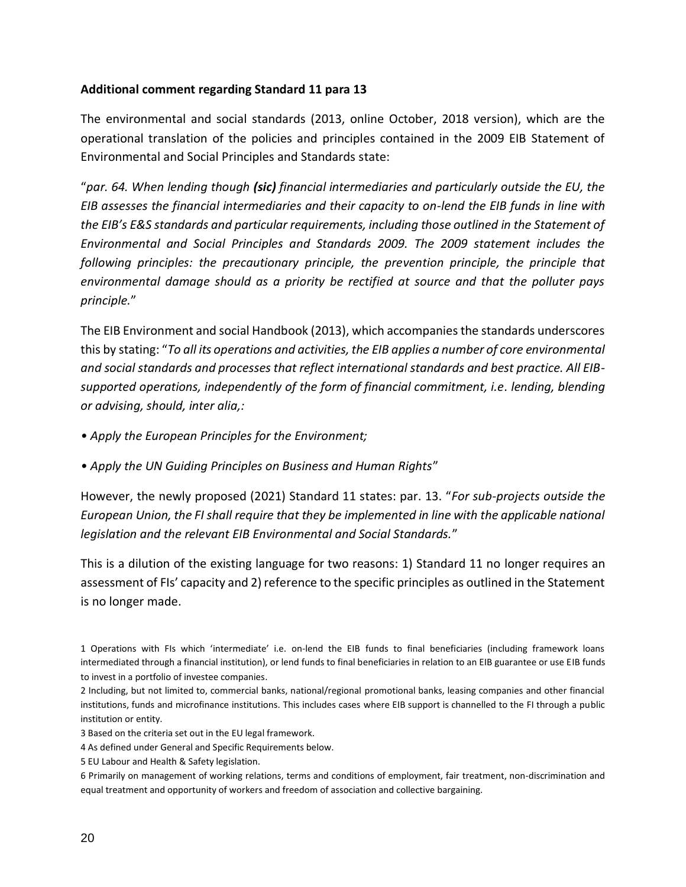#### **Additional comment regarding Standard 11 para 13**

The environmental and social standards (2013, online October, 2018 version), which are the operational translation of the policies and principles contained in the 2009 EIB Statement of Environmental and Social Principles and Standards state:

"*par. 64. When lending though (sic) financial intermediaries and particularly outside the EU, the EIB assesses the financial intermediaries and their capacity to on-lend the EIB funds in line with the EIB's E&S standards and particular requirements, including those outlined in the Statement of Environmental and Social Principles and Standards 2009. The 2009 statement includes the following principles: the precautionary principle, the prevention principle, the principle that environmental damage should as a priority be rectified at source and that the polluter pays principle.*"

The EIB Environment and social Handbook (2013), which accompanies the standards underscores this by stating: "*To all its operations and activities, the EIB applies a number of core environmental and social standards and processes that reflect international standards and best practice. All EIBsupported operations, independently of the form of financial commitment, i.e. lending, blending or advising, should, inter alia,:*

- *Apply the European Principles for the Environment;*
- *Apply the UN Guiding Principles on Business and Human Rights*"

However, the newly proposed (2021) Standard 11 states: par. 13. "*For sub-projects outside the European Union, the FI shall require that they be implemented in line with the applicable national legislation and the relevant EIB Environmental and Social Standards.*"

This is a dilution of the existing language for two reasons: 1) Standard 11 no longer requires an assessment of FIs' capacity and 2) reference to the specific principles as outlined in the Statement is no longer made.

<sup>1</sup> Operations with FIs which 'intermediate' i.e. on-lend the EIB funds to final beneficiaries (including framework loans intermediated through a financial institution), or lend funds to final beneficiaries in relation to an EIB guarantee or use EIB funds to invest in a portfolio of investee companies.

<sup>2</sup> Including, but not limited to, commercial banks, national/regional promotional banks, leasing companies and other financial institutions, funds and microfinance institutions. This includes cases where EIB support is channelled to the FI through a public institution or entity.

<sup>3</sup> Based on the criteria set out in the EU legal framework.

<sup>4</sup> As defined under General and Specific Requirements below.

<sup>5</sup> EU Labour and Health & Safety legislation.

<sup>6</sup> Primarily on management of working relations, terms and conditions of employment, fair treatment, non-discrimination and equal treatment and opportunity of workers and freedom of association and collective bargaining.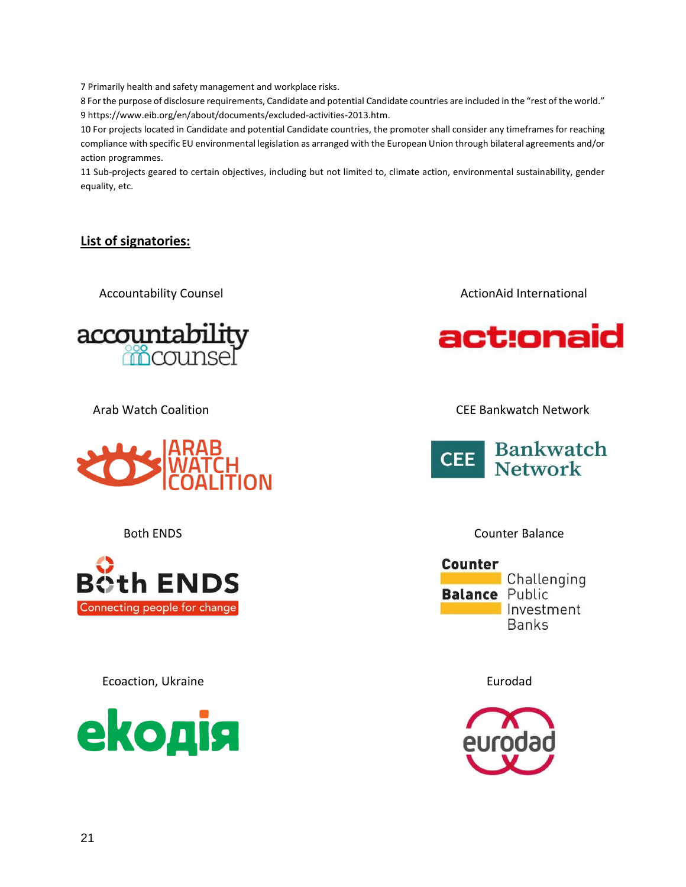7 Primarily health and safety management and workplace risks.

8 For the purpose of disclosure requirements, Candidate and potential Candidate countries are included in the "rest of the world." 9 https://www.eib.org/en/about/documents/excluded-activities-2013.htm.

10 For projects located in Candidate and potential Candidate countries, the promoter shall consider any timeframes for reaching compliance with specific EU environmental legislation as arranged with the European Union through bilateral agreements and/or action programmes.

11 Sub-projects geared to certain objectives, including but not limited to, climate action, environmental sustainability, gender equality, etc.

## **List of signatories:**







Ecoaction, Ukraine Eurodad et al. 2014 and 2016 and 2017 and 2018 and 2017 and 2018 and 2018 and 2019 and 2018



Accountability Counsel **ActionAid International** ActionAid International



Arab Watch Coalition CEE Bankwatch Network



#### Both ENDS **Counter Balance**